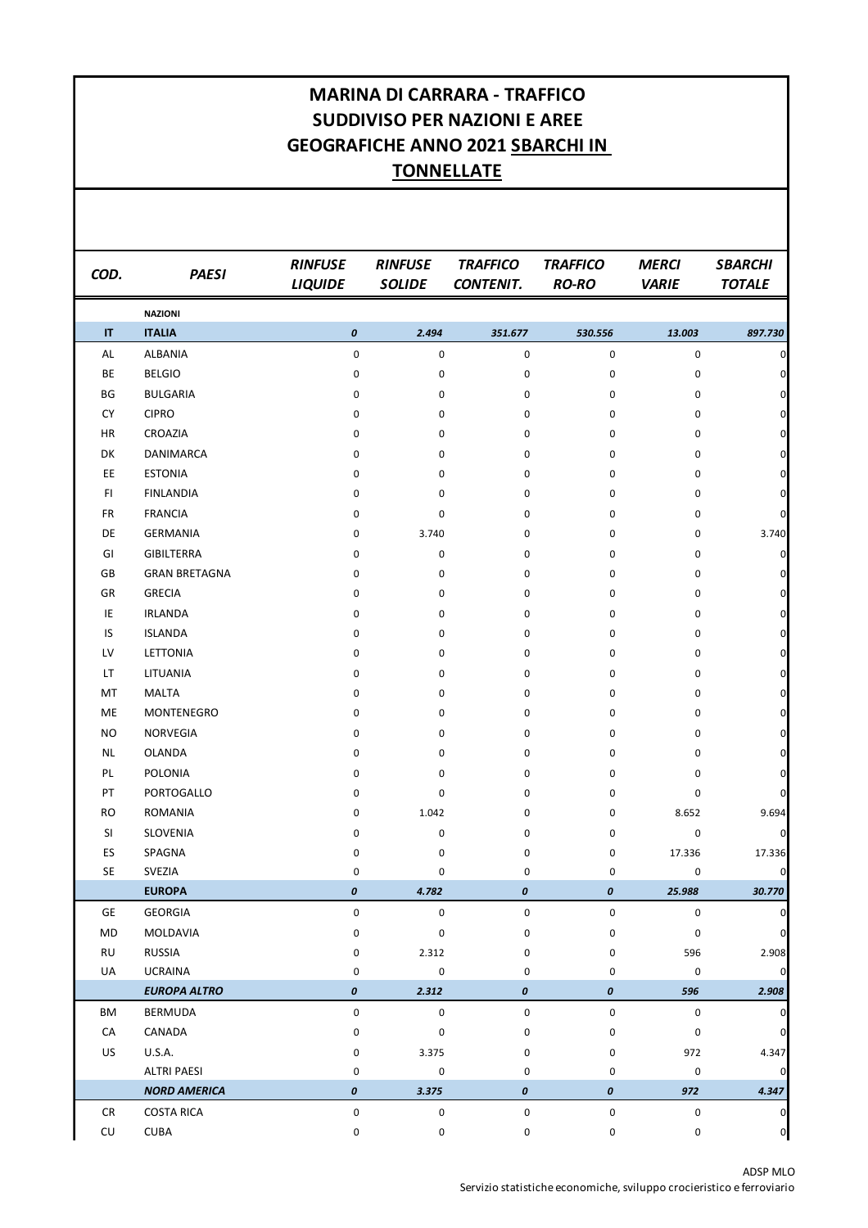## **MARINA DI CARRARA - TRAFFICO SUDDIVISO PER NAZIONI E AREE GEOGRAFICHE ANNO 2021 SBARCHI IN TONNELLATE**

| COD.      | <b>PAESI</b>         | <b>RINFUSE</b><br><b>LIQUIDE</b> | <b>RINFUSE</b><br><b>SOLIDE</b> | <b>TRAFFICO</b><br><b>CONTENIT.</b> | <b>TRAFFICO</b><br><b>RO-RO</b> | <b>MERCI</b><br><b>VARIE</b> | <b>SBARCHI</b><br><b>TOTALE</b> |
|-----------|----------------------|----------------------------------|---------------------------------|-------------------------------------|---------------------------------|------------------------------|---------------------------------|
|           | <b>NAZIONI</b>       |                                  |                                 |                                     |                                 |                              |                                 |
| IT        | <b>ITALIA</b>        | $\boldsymbol{o}$                 | 2.494                           | 351.677                             | 530.556                         | 13.003                       | 897.730                         |
| AL        | ALBANIA              | $\pmb{0}$                        | 0                               | 0                                   | 0                               | $\pmb{0}$                    | $\overline{0}$                  |
| BE        | <b>BELGIO</b>        | 0                                | 0                               | $\pmb{0}$                           | 0                               | 0                            | $\mathbf 0$                     |
| BG        | <b>BULGARIA</b>      | 0                                | 0                               | 0                                   | 0                               | 0                            | $\mathsf{O}\xspace$             |
| <b>CY</b> | <b>CIPRO</b>         | 0                                | 0                               | 0                                   | 0                               | 0                            | $\mathsf{O}\xspace$             |
| HR        | CROAZIA              | 0                                | 0                               | 0                                   | 0                               | 0                            | $\mathsf{O}\xspace$             |
| DK        | <b>DANIMARCA</b>     | 0                                | 0                               | 0                                   | 0                               | 0                            | $\mathsf{O}\xspace$             |
| EE        | <b>ESTONIA</b>       | 0                                | 0                               | 0                                   | 0                               | 0                            | $\mathsf{O}\xspace$             |
| FI        | <b>FINLANDIA</b>     | 0                                | 0                               | 0                                   | 0                               | 0                            | $\mathsf{O}\xspace$             |
| <b>FR</b> | <b>FRANCIA</b>       | 0                                | 0                               | 0                                   | 0                               | 0                            | $\overline{0}$                  |
| DE        | <b>GERMANIA</b>      | 0                                | 3.740                           | 0                                   | 0                               | 0                            | 3.740                           |
| GI        | <b>GIBILTERRA</b>    | 0                                | 0                               | 0                                   | 0                               | 0                            | $\overline{0}$                  |
| GB        | <b>GRAN BRETAGNA</b> | 0                                | 0                               | 0                                   | 0                               | 0                            | $\overline{0}$                  |
| GR        | <b>GRECIA</b>        | 0                                | 0                               | 0                                   | 0                               | 0                            | $\mathsf{O}\xspace$             |
| IE        | <b>IRLANDA</b>       | 0                                | 0                               | 0                                   | 0                               | 0                            | $\mathsf{O}\xspace$             |
| IS        | <b>ISLANDA</b>       | 0                                | 0                               | 0                                   | 0                               | 0                            | $\mathsf{O}\xspace$             |
| LV        | <b>LETTONIA</b>      | 0                                | 0                               | 0                                   | 0                               | 0                            | $\mathbf 0$                     |
| LT.       | LITUANIA             | 0                                | 0                               | 0                                   | 0                               | 0                            | $\mathbf 0$                     |
| MT        | <b>MALTA</b>         | 0                                | 0                               | 0                                   | 0                               | 0                            | $\mathbf 0$                     |
| ME        | MONTENEGRO           | 0                                | 0                               | 0                                   | 0                               | 0                            | $\mathbf 0$                     |
| <b>NO</b> | NORVEGIA             | 0                                | 0                               | 0                                   | 0                               | 0                            | $\mathsf{O}\xspace$             |
| <b>NL</b> | OLANDA               | 0                                | 0                               | 0                                   | 0                               | 0                            | $\mathsf{O}\xspace$             |
| PL        | POLONIA              | 0                                | 0                               | 0                                   | 0                               | 0                            | $\mathbf 0$                     |
| PT        | PORTOGALLO           | 0                                | 0                               | 0                                   | 0                               | 0                            | $\overline{0}$                  |
| <b>RO</b> | <b>ROMANIA</b>       | 0                                | 1.042                           | 0                                   | 0                               | 8.652                        | 9.694                           |
| SI        | SLOVENIA             | 0                                | 0                               | 0                                   | 0                               | 0                            | $\overline{0}$                  |
| ES        | SPAGNA               | 0                                | 0                               | 0                                   | 0                               | 17.336                       | 17.336                          |
| <b>SE</b> | <b>SVEZIA</b>        | 0                                | $\pmb{0}$                       | 0                                   | 0                               | 0                            | $\mathbf 0$                     |
|           | <b>EUROPA</b>        | 0                                | 4.782                           | 0                                   | 0                               | 25.988                       | 30.770                          |
| GE        | GEORGIA              | 0                                | 0                               | 0                                   | 0                               | 0                            | $\pmb{0}$                       |
| MD        | MOLDAVIA             | 0                                | 0                               | 0                                   | 0                               | 0                            | $\mathbf 0$                     |
| <b>RU</b> | <b>RUSSIA</b>        | $\pmb{0}$                        | 2.312                           | 0                                   | 0                               | 596                          | 2.908                           |
| UA        | <b>UCRAINA</b>       | 0                                | 0                               | 0                                   | 0                               | 0                            | $\mathbf 0$                     |
|           | <b>EUROPA ALTRO</b>  | 0                                | 2.312                           | 0                                   | $\boldsymbol{o}$                | 596                          | 2.908                           |
| ΒM        | BERMUDA              | 0                                | 0                               | 0                                   | 0                               | 0                            | $\overline{0}$                  |
| CA        | CANADA               | 0                                | 0                               | 0                                   | 0                               | 0                            | $\mathsf{O}\xspace$             |
| US        | <b>U.S.A.</b>        | 0                                | 3.375                           | 0                                   | 0                               | 972                          | 4.347                           |
|           | <b>ALTRI PAESI</b>   | 0                                | 0                               | 0                                   | 0                               | 0                            | $\mathsf{O}\xspace$             |
|           | <b>NORD AMERICA</b>  | 0                                | 3.375                           | 0                                   | $\pmb{o}$                       | 972                          | 4.347                           |
| CR        | <b>COSTA RICA</b>    | $\pmb{0}$                        | $\pmb{0}$                       | $\pmb{0}$                           | $\pmb{0}$                       | $\pmb{0}$                    | $\mathbf 0$                     |
| CU        | CUBA                 | 0                                | 0                               | $\mathsf{O}\xspace$                 | $\mathsf{O}\xspace$             | $\mathsf 0$                  | $\mathsf{o}$                    |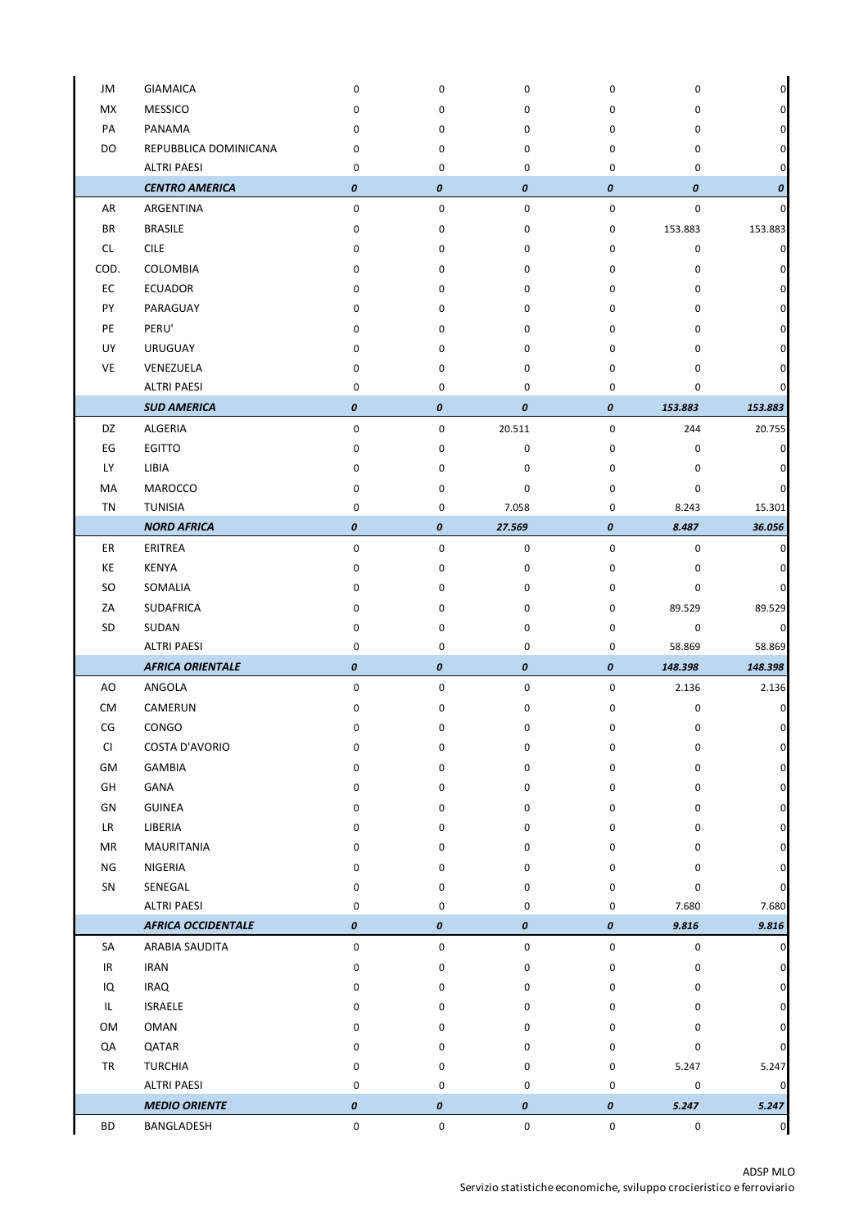| JM        | <b>GIAMAICA</b>           | 0           | 0         | 0           | 0         | 0       | 0              |
|-----------|---------------------------|-------------|-----------|-------------|-----------|---------|----------------|
| МX        | <b>MESSICO</b>            | 0           | 0         | 0           | 0         | 0       | 0              |
| PA        | PANAMA                    | 0           | 0         | 0           | 0         | 0       | 0              |
| DO        | REPUBBLICA DOMINICANA     | 0           | 0         | 0           | 0         | 0       | 0              |
|           | <b>ALTRI PAESI</b>        | $\mathbf 0$ | 0         | $\mathbf 0$ | 0         | 0       | 0              |
|           | <b>CENTRO AMERICA</b>     | 0           | 0         | 0           | 0         | 0       | 0              |
| AR        | ARGENTINA                 | 0           | 0         | 0           | $\pmb{0}$ | 0       | 0              |
| <b>BR</b> | <b>BRASILE</b>            | 0           | 0         | 0           | 0         | 153.883 | 153.883        |
| CL        | <b>CILE</b>               | 0           | 0         | 0           | 0         | 0       | 0              |
| COD.      | COLOMBIA                  | 0           | 0         | 0           | 0         | 0       | 0              |
| EC        | <b>ECUADOR</b>            | 0           | 0         | 0           | 0         | 0       | 0              |
| PY        | PARAGUAY                  | 0           | 0         | 0           | 0         | 0       | 0              |
| PE        | PERU'                     | 0           | 0         | 0           | 0         | 0       | 0              |
| UY        | <b>URUGUAY</b>            | 0           | 0         | 0           | 0         | 0       | 0              |
| VE        | VENEZUELA                 | 0           | 0         | 0           | 0         | 0       | 0              |
|           | <b>ALTRI PAESI</b>        | 0           | 0         | $\mathbf 0$ | 0         | 0       | 0              |
|           | <b>SUD AMERICA</b>        | 0           | 0         | 0           | 0         | 153.883 | 153.883        |
| DZ        | ALGERIA                   | 0           | 0         | 20.511      | $\pmb{0}$ | 244     | 20.755         |
| EG        | <b>EGITTO</b>             | 0           | 0         | 0           | 0         | 0       | 0              |
| <b>LY</b> | LIBIA                     | 0           | 0         | 0           | 0         | 0       | 0              |
| MA        | MAROCCO                   | 0           | 0         | 0           | 0         | 0       | 0              |
| ΤN        | <b>TUNISIA</b>            | 0           | 0         | 7.058       | 0         | 8.243   | 15.301         |
|           | <b>NORD AFRICA</b>        | 0           | 0         | 27.569      | 0         | 8.487   | 36.056         |
| ER        | ERITREA                   | 0           | 0         | 0           | $\pmb{0}$ | 0       | 0              |
| KE        | <b>KENYA</b>              | $\pmb{0}$   | 0         | 0           | $\pmb{0}$ | 0       | 0              |
| SO        | SOMALIA                   | 0           | 0         | 0           | 0         | 0       | 0              |
| ZA        | SUDAFRICA                 | 0           | 0         | 0           | 0         | 89.529  | 89.529         |
| SD        | SUDAN                     | 0           | 0         | 0           | 0         | 0       | 0              |
|           | <b>ALTRI PAESI</b>        | 0           | 0         | 0           | 0         | 58.869  | 58.869         |
|           | <b>AFRICA ORIENTALE</b>   | 0           | 0         | 0           | 0         | 148.398 | 148.398        |
| AO        | ANGOLA                    | 0           | 0         | 0           | 0         | 2.136   | 2.136          |
| <b>CM</b> | CAMERUN                   | $\pmb{0}$   | 0         | 0           | 0         | 0       | 0              |
| CG        | CONGO                     | $\mathbf 0$ | 0         | 0           | 0         | 0       | $\overline{0}$ |
| CI        | COSTA D'AVORIO            | 0           | 0         | 0           | 0         | 0       | 0              |
| GM        | GAMBIA                    | 0           | 0         | 0           | 0         | 0       | 0              |
| GH        | GANA                      | 0           | 0         | 0           | 0         | 0       | 0              |
| GN        | <b>GUINEA</b>             | 0           | 0         | 0           | 0         | 0       | 0              |
| LR.       | LIBERIA                   | 0           | 0         | 0           | 0         | 0       | 0              |
| MR        | <b>MAURITANIA</b>         | 0           | 0         | 0           | 0         | 0       | 0              |
| NG        | NIGERIA                   | 0           | 0         | 0           | 0         | 0       | 0              |
| SN        | SENEGAL                   | 0           | 0         | 0           | 0         | 0       | 0              |
|           | <b>ALTRI PAESI</b>        | 0           | 0         | 0           | 0         | 7.680   | 7.680          |
|           | <b>AFRICA OCCIDENTALE</b> | 0           | 0         | 0           | 0         | 9.816   | 9.816          |
| SA        | ARABIA SAUDITA            | 0           | 0         | 0           | $\pmb{0}$ | 0       | 0              |
| IR        | <b>IRAN</b>               | 0           | 0         | 0           | 0         | 0       | 0              |
| IQ        | <b>IRAQ</b>               | 0           | 0         | 0           | 0         | 0       | 0              |
| IL.       | <b>ISRAELE</b>            | 0           | 0         | 0           | 0         | 0       | 0              |
| OM        | OMAN                      | 0           | 0         | 0           | 0         | 0       | 0              |
| QA        | QATAR                     | 0           | 0         | 0           | 0         | 0       | 0              |
| TR        | <b>TURCHIA</b>            | 0           | 0         | 0           | 0         | 5.247   | 5.247          |
|           | <b>ALTRI PAESI</b>        | 0           | 0         | 0           | 0         | 0       | 0              |
|           | <b>MEDIO ORIENTE</b>      | 0           | 0         | 0           | $\pmb{o}$ | 5.247   | 5.247          |
| <b>BD</b> | BANGLADESH                | 0           | $\pmb{0}$ | $\pmb{0}$   | $\pmb{0}$ | 0       | $\overline{0}$ |

 $\ddot{\phantom{0}}$